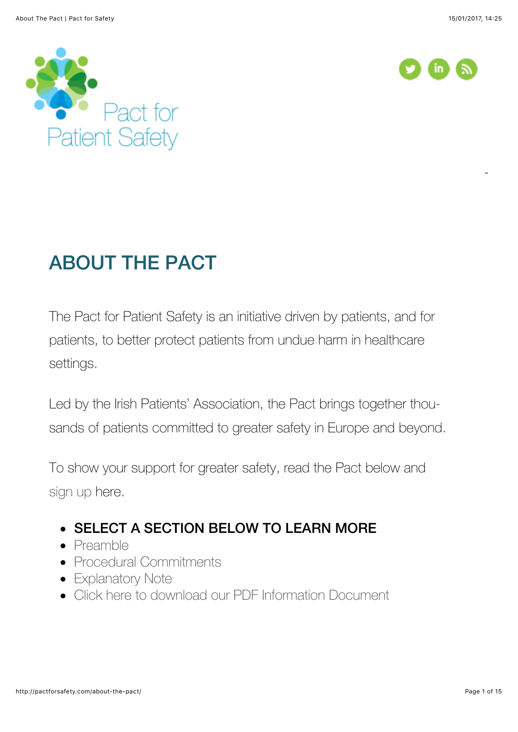[T](http://www.ecdc.europa.eu/en/aboutus/organisation/director%20speeches/marc-sprenger-the-threat-of-antimicrobial-resistance-to-patient-safety.pdf)he threat of antimicrobial resistance to patient-safety





# ABOUT THE PACT

The Pact for Patient Safety is an initiative driven by patients, and for patients, to better protect patients from undue harm in healthcare settings.

Led by the Irish Patients' Association, the Pact brings together thousands of patients committed to greater safety in Europe and beyond.

To show your support for greater safety, read the Pact below and [sign up](http://pactforsafety.com/sign-the-pact-2/) here.

#### **• SELECT A SECTION BELOW TO LEARN MORE**

- [Preamble](http://pactforsafety.com/about-the-pact/#ab1)
- [Procedural Commitments](http://pactforsafety.com/about-the-pact/#ab2)
- [Explanatory Note](http://pactforsafety.com/about-the-pact/#ab3)
- [Click here to download our PDF Information Document](http://pactforsafety.com/wp-content/uploads/2014/08/Pact-for-Patient-Safety.pdf)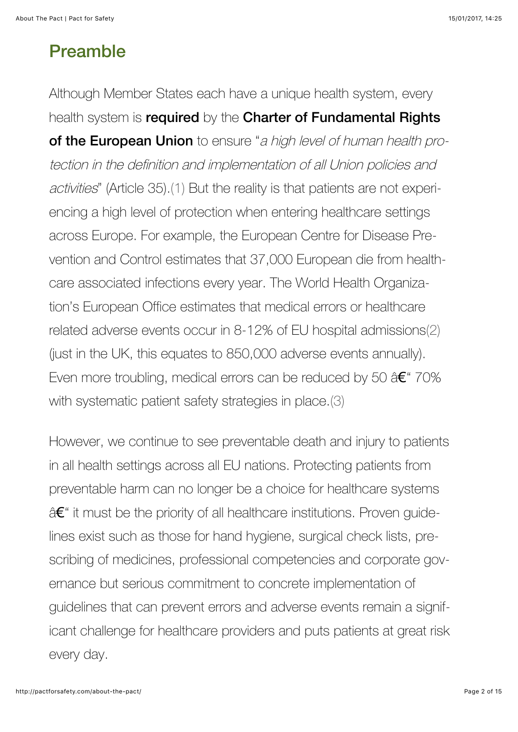### Preamble

Although Member States each have a unique health system, every health system is required by the Charter of Fundamental Rights of the European Union to ensure "a high level of human health protection in the definition and implementation of all Union policies and activities" (Article 35)[.\(1\)](http://pactforsafety.com/about-the-pact/#q1) But the reality is that patients are not experiencing a high level of protection when entering healthcare settings across Europe. For example, the European Centre for Disease Prevention and Control estimates that 37,000 European die from healthcare associated infections every year. The World Health Organization's European Office estimates that medical errors or healthcare related adverse events occur in 8-12% of EU hospital admissions[\(2\)](http://pactforsafety.com/about-the-pact/#q2) (just in the UK, this equates to 850,000 adverse events annually). Even more troubling, medical errors can be reduced by 50 â€" 70% with systematic patient safety strategies in place.[\(3\)](http://pactforsafety.com/about-the-pact/#q3)

However, we continue to see preventable death and injury to patients in all health settings across all EU nations. Protecting patients from preventable harm can no longer be a choice for healthcare systems â€" it must be the priority of all healthcare institutions. Proven quidelines exist such as those for hand hygiene, surgical check lists, prescribing of medicines, professional competencies and corporate governance but serious commitment to concrete implementation of guidelines that can prevent errors and adverse events remain a significant challenge for healthcare providers and puts patients at great risk every day.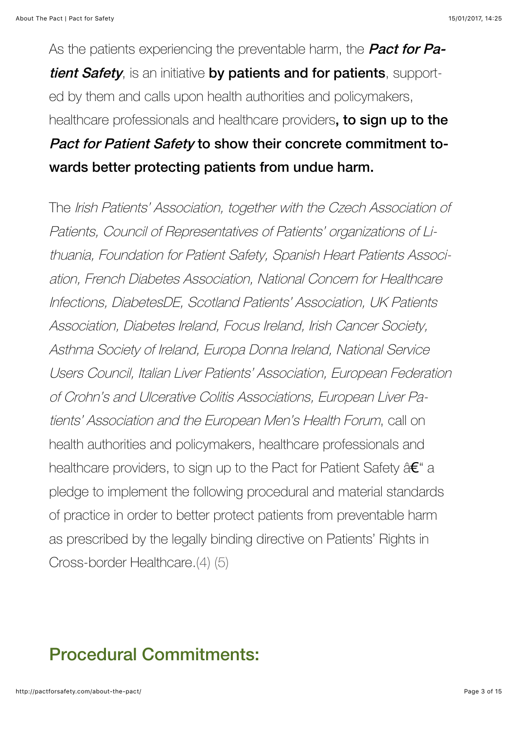As the patients experiencing the preventable harm, the **Pact for Pa**tient Safety, is an initiative by patients and for patients, supported by them and calls upon health authorities and policymakers, healthcare professionals and healthcare providers, to sign up to the Pact for Patient Safety to show their concrete commitment to-

### wards better protecting patients from undue harm.

The Irish Patients' Association, together with the Czech Association of Patients, Council of Representatives of Patients' organizations of Lithuania, Foundation for Patient Safety, Spanish Heart Patients Association, French Diabetes Association, National Concern for Healthcare Infections, DiabetesDE, Scotland Patients' Association, UK Patients Association, Diabetes Ireland, Focus Ireland, Irish Cancer Society, Asthma Society of Ireland, Europa Donna Ireland, National Service Users Council, Italian Liver Patients' Association, European Federation of Crohn's and Ulcerative Colitis Associations, European Liver Patients' Association and the European Men's Health Forum, call on health authorities and policymakers, healthcare professionals and healthcare providers, to sign up to the Pact for Patient Safety â€" a pledge to implement the following procedural and material standards of practice in order to better protect patients from preventable harm as prescribed by the legally binding directive on Patients' Rights in Cross-border Healthcare[.\(4\)](http://pactforsafety.com/about-the-pact/#q4) [\(5\)](http://pactforsafety.com/about-the-pact/#q5)

## Procedural Commitments: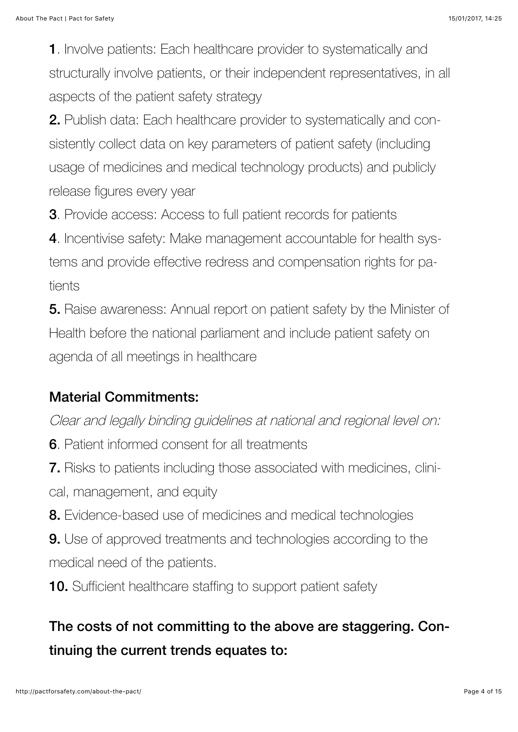1. Involve patients: Each healthcare provider to systematically and structurally involve patients, or their independent representatives, in all aspects of the patient safety strategy

2. Publish data: Each healthcare provider to systematically and consistently collect data on key parameters of patient safety (including usage of medicines and medical technology products) and publicly release figures every year

3. Provide access: Access to full patient records for patients

4. Incentivise safety: Make management accountable for health systems and provide effective redress and compensation rights for patients

5. Raise awareness: Annual report on patient safety by the Minister of Health before the national parliament and include patient safety on agenda of all meetings in healthcare

#### Material Commitments:

Clear and legally binding guidelines at national and regional level on:

6. Patient informed consent for all treatments

7. Risks to patients including those associated with medicines, clinical, management, and equity

8. Evidence-based use of medicines and medical technologies

9. Use of approved treatments and technologies according to the medical need of the patients.

**10.** Sufficient healthcare staffing to support patient safety

### The costs of not committing to the above are staggering. Continuing the current trends equates to: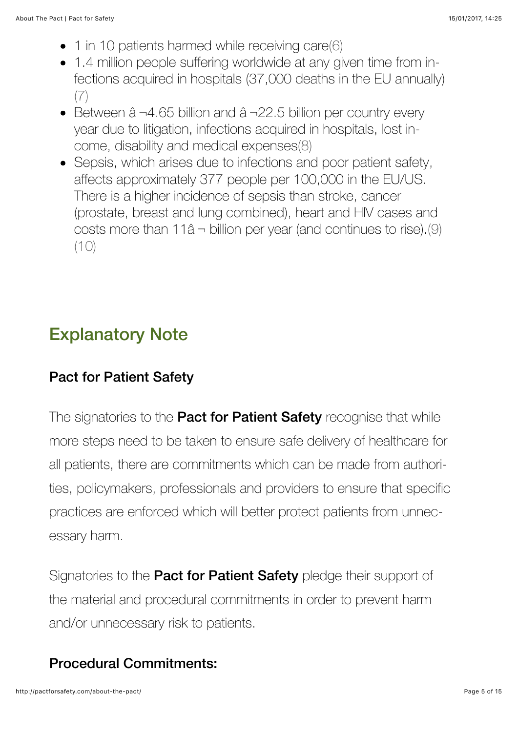- 1 in 10 patients harmed while receiving care[\(6\)](http://pactforsafety.com/about-the-pact/#q6)
- 1.4 million people suffering worldwide at any given time from infections acquired in hospitals (37,000 deaths in the EU annually) [\(7\)](http://pactforsafety.com/about-the-pact/#q7)
- Between â ¬4.65 billion and â ¬22.5 billion per country every year due to litigation, infections acquired in hospitals, lost income, disability and medical expense[s\(8\)](http://pactforsafety.com/about-the-pact/#q8)
- Sepsis, which arises due to infections and poor patient safety, affects approximately 377 people per 100,000 in the EU/US. There is a higher incidence of sepsis than stroke, cancer (prostate, breast and lung combined), heart and HIV cases and costs more than  $11â \rightarrow$  billion per year (and continues to rise).[\(9\)](http://pactforsafety.com/about-the-pact/#q9)  $(10)$

## Explanatory Note

#### Pact for Patient Safety

The signatories to the **Pact for Patient Safety** recognise that while more steps need to be taken to ensure safe delivery of healthcare for all patients, there are commitments which can be made from authorities, policymakers, professionals and providers to ensure that specific practices are enforced which will better protect patients from unnecessary harm.

Signatories to the **Pact for Patient Safety** pledge their support of the material and procedural commitments in order to prevent harm and/or unnecessary risk to patients.

#### Procedural Commitments: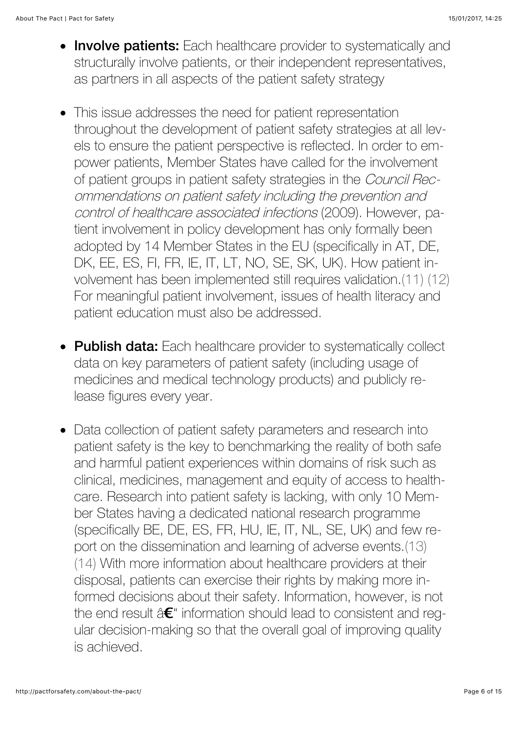- Involve patients: Each healthcare provider to systematically and structurally involve patients, or their independent representatives, as partners in all aspects of the patient safety strategy
- This issue addresses the need for patient representation  $\bullet$ throughout the development of patient safety strategies at all levels to ensure the patient perspective is reflected. In order to empower patients, Member States have called for the involvement of patient groups in patient safety strategies in the Council Recommendations on patient safety including the prevention and control of healthcare associated infections (2009). However, patient involvement in policy development has only formally been adopted by 14 Member States in the EU (specifically in AT, DE, DK, EE, ES, FI, FR, IE, IT, LT, NO, SE, SK, UK). How patient involvement has been implemented still requires validation[.\(11\)](http://pactforsafety.com/about-the-pact/#q11) [\(12\)](http://pactforsafety.com/about-the-pact/#q12) For meaningful patient involvement, issues of health literacy and patient education must also be addressed.
- Publish data: Each healthcare provider to systematically collect data on key parameters of patient safety (including usage of medicines and medical technology products) and publicly release figures every year.
- Data collection of patient safety parameters and research into patient safety is the key to benchmarking the reality of both safe and harmful patient experiences within domains of risk such as clinical, medicines, management and equity of access to healthcare. Research into patient safety is lacking, with only 10 Member States having a dedicated national research programme (specifically BE, DE, ES, FR, HU, IE, IT, NL, SE, UK) and few report on the dissemination and learning of adverse events[.\(13\)](http://pactforsafety.com/about-the-pact/#q13) [\(14\)](http://pactforsafety.com/about-the-pact/#q14) With more information about healthcare providers at their disposal, patients can exercise their rights by making more informed decisions about their safety. Information, however, is not the end result â€" information should lead to consistent and regular decision-making so that the overall goal of improving quality is achieved.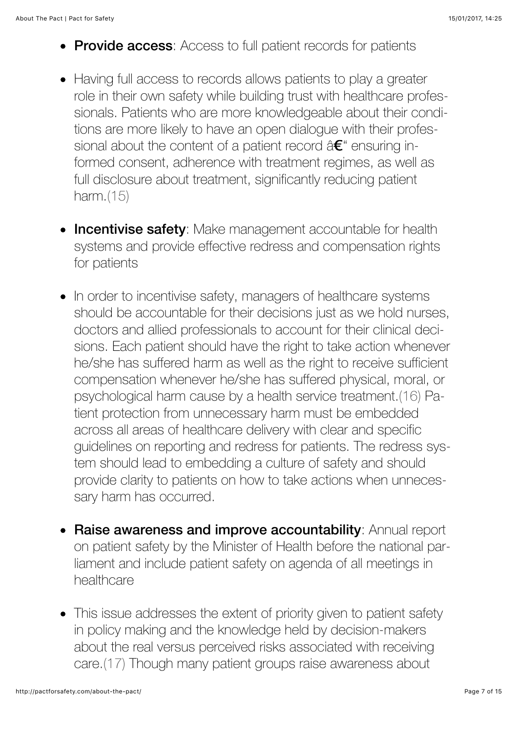- Provide access: Access to full patient records for patients
- Having full access to records allows patients to play a greater role in their own safety while building trust with healthcare professionals. Patients who are more knowledgeable about their conditions are more likely to have an open dialogue with their professional about the content of a patient record  $\hat{a} \in \mathcal{C}$  ensuring informed consent, adherence with treatment regimes, as well as full disclosure about treatment, significantly reducing patient harm[.\(15\)](http://pactforsafety.com/about-the-pact/#q15)
- **Incentivise safety**: Make management accountable for health systems and provide effective redress and compensation rights for patients
- In order to incentivise safety, managers of healthcare systems should be accountable for their decisions just as we hold nurses, doctors and allied professionals to account for their clinical decisions. Each patient should have the right to take action whenever he/she has suffered harm as well as the right to receive sufficient compensation whenever he/she has suffered physical, moral, or psychological harm cause by a health service treatment.[\(16\)](http://pactforsafety.com/about-the-pact/#q16) Patient protection from unnecessary harm must be embedded across all areas of healthcare delivery with clear and specific guidelines on reporting and redress for patients. The redress system should lead to embedding a culture of safety and should provide clarity to patients on how to take actions when unnecessary harm has occurred.
- Raise awareness and improve accountability: Annual report on patient safety by the Minister of Health before the national parliament and include patient safety on agenda of all meetings in healthcare
- This issue addresses the extent of priority given to patient safety in policy making and the knowledge held by decision-makers about the real versus perceived risks associated with receiving care.[\(17\)](http://pactforsafety.com/about-the-pact/#q17) Though many patient groups raise awareness about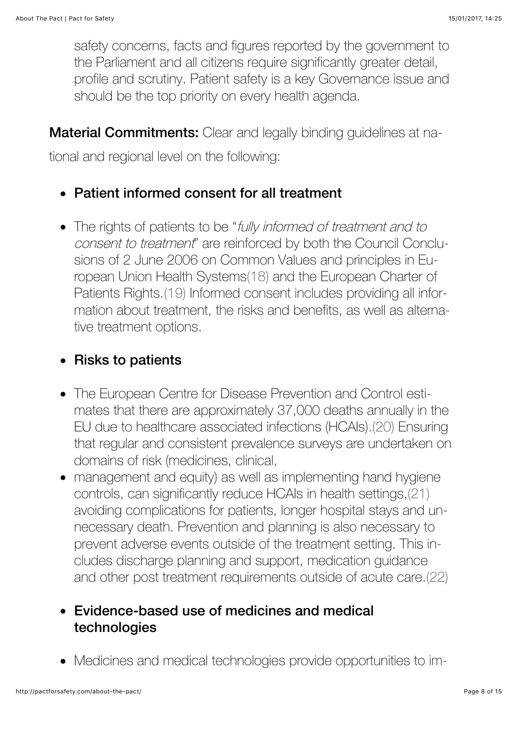safety concerns, facts and figures reported by the government to the Parliament and all citizens require significantly greater detail, profile and scrutiny. Patient safety is a key Governance issue and should be the top priority on every health agenda.

**Material Commitments:** Clear and legally binding guidelines at na-

tional and regional level on the following:

- Patient informed consent for all treatment
- The rights of patients to be "fully informed of treatment and to consent to treatment" are reinforced by both the Council Conclusions of 2 June 2006 on Common Values and principles in European Union Health Systems[\(18\)](http://pactforsafety.com/about-the-pact/#q18) and the European Charter of Patients Rights[.\(19\)](http://pactforsafety.com/about-the-pact/#q19) Informed consent includes providing all information about treatment, the risks and benefits, as well as alternative treatment options.

#### • Risks to patients

- The European Centre for Disease Prevention and Control estimates that there are approximately 37,000 deaths annually in the EU due to healthcare associated infections (HCAIs).[\(20\)](http://pactforsafety.com/about-the-pact/#q20) Ensuring that regular and consistent prevalence surveys are undertaken on domains of risk (medicines, clinical,
- management and equity) as well as implementing hand hygiene controls, can significantly reduce HCAIs in health settings[,\(21\)](http://pactforsafety.com/about-the-pact/#q21) avoiding complications for patients, longer hospital stays and unnecessary death. Prevention and planning is also necessary to prevent adverse events outside of the treatment setting. This includes discharge planning and support, medication guidance and other post treatment requirements outside of acute care.[\(22\)](http://pactforsafety.com/about-the-pact/#q22)

#### Evidence-based use of medicines and medical technologies

Medicines and medical technologies provide opportunities to im-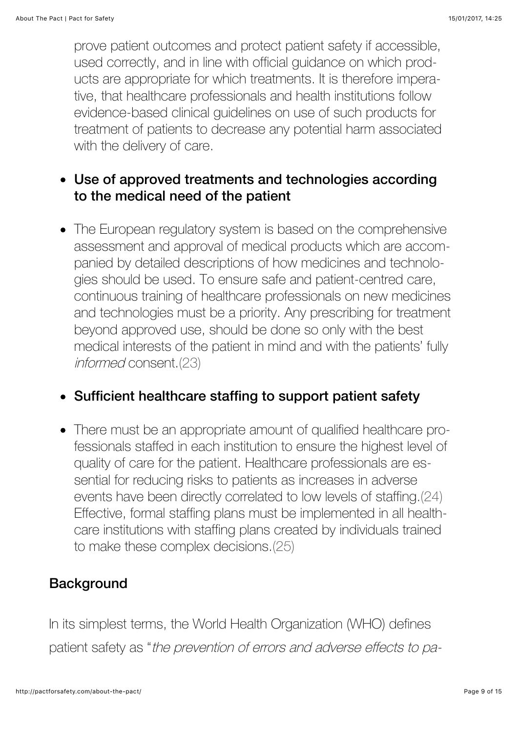prove patient outcomes and protect patient safety if accessible, used correctly, and in line with official guidance on which products are appropriate for which treatments. It is therefore imperative, that healthcare professionals and health institutions follow evidence-based clinical guidelines on use of such products for treatment of patients to decrease any potential harm associated with the delivery of care.

#### Use of approved treatments and technologies according to the medical need of the patient

• The European regulatory system is based on the comprehensive assessment and approval of medical products which are accompanied by detailed descriptions of how medicines and technologies should be used. To ensure safe and patient-centred care, continuous training of healthcare professionals on new medicines and technologies must be a priority. Any prescribing for treatment beyond approved use, should be done so only with the best medical interests of the patient in mind and with the patients' fully informed consent[.\(23\)](http://pactforsafety.com/about-the-pact/#q23)

#### Sufficient healthcare staffing to support patient safety

• There must be an appropriate amount of qualified healthcare professionals staffed in each institution to ensure the highest level of quality of care for the patient. Healthcare professionals are essential for reducing risks to patients as increases in adverse events have been directly correlated to low levels of staffing.[\(24\)](http://pactforsafety.com/about-the-pact/#q24) Effective, formal staffing plans must be implemented in all healthcare institutions with staffing plans created by individuals trained to make these complex decisions[.\(25\)](http://pactforsafety.com/about-the-pact/#q25)

#### **Background**

In its simplest terms, the World Health Organization (WHO) defines patient safety as "the prevention of errors and adverse effects to pa-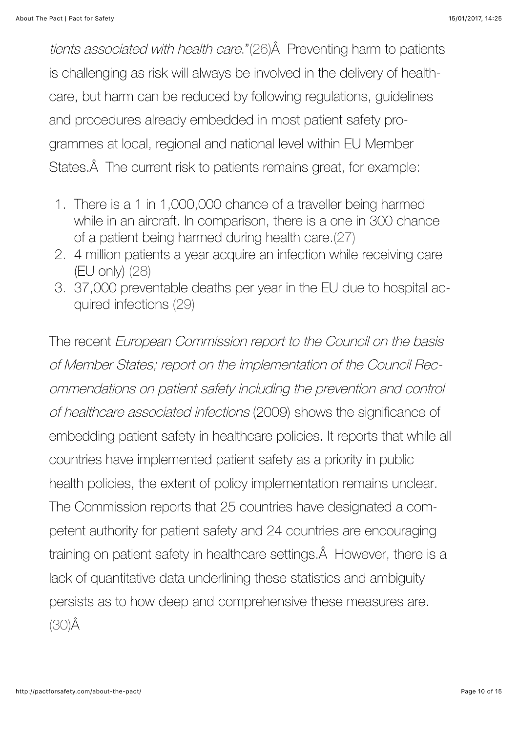tients associated with health care."[\(26\)](http://pactforsafety.com/about-the-pact/#q26) Â Preventing harm to patients is challenging as risk will always be involved in the delivery of healthcare, but harm can be reduced by following regulations, guidelines and procedures already embedded in most patient safety programmes at local, regional and national level within EU Member States. A The current risk to patients remains great, for example:

- 1. There is a 1 in 1,000,000 chance of a traveller being harmed while in an aircraft. In comparison, there is a one in 300 chance of a patient being harmed during health care.[\(27\)](http://pactforsafety.com/about-the-pact/#q27)
- 2. 4 million patients a year acquire an infection while receiving care (EU only) [\(28\)](http://pactforsafety.com/about-the-pact/#q28)
- 3. 37,000 preventable deaths per year in the EU due to hospital acquired infections [\(29\)](http://pactforsafety.com/about-the-pact/#q29)

The recent European Commission report to the Council on the basis of Member States; report on the implementation of the Council Recommendations on patient safety including the prevention and control of healthcare associated infections (2009) shows the significance of embedding patient safety in healthcare policies. It reports that while all countries have implemented patient safety as a priority in public health policies, the extent of policy implementation remains unclear. The Commission reports that 25 countries have designated a competent authority for patient safety and 24 countries are encouraging training on patient safety in healthcare settings. A However, there is a lack of quantitative data underlining these statistics and ambiguity persists as to how deep and comprehensive these measures are. [\(30\)Â](http://pactforsafety.com/about-the-pact/#q30)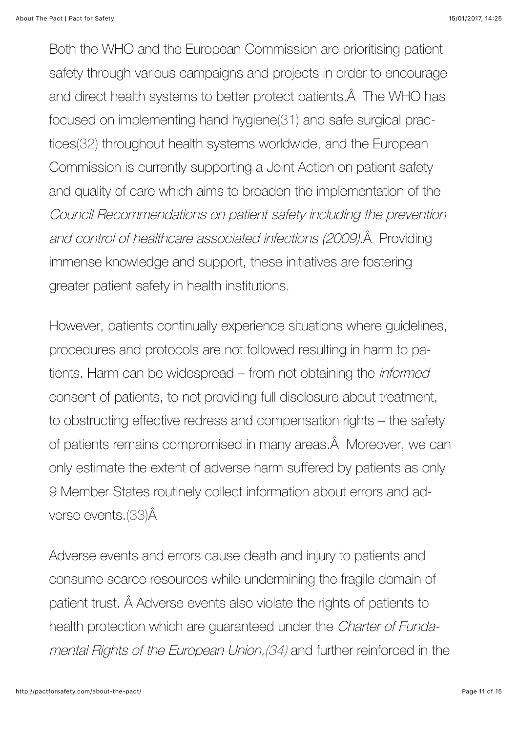Both the WHO and the European Commission are prioritising patient safety through various campaigns and projects in order to encourage and direct health systems to better protect patients. A The WHO has focused on implementing hand hygiene[\(31\)](http://pactforsafety.com/about-the-pact/#q31) and safe surgical practices[\(32\)](http://pactforsafety.com/about-the-pact/#q32) throughout health systems worldwide, and the European Commission is currently supporting a Joint Action on patient safety and quality of care which aims to broaden the implementation of the Council Recommendations on patient safety including the prevention and control of healthcare associated infections (2009). A Providing immense knowledge and support, these initiatives are fostering greater patient safety in health institutions.

However, patients continually experience situations where guidelines, procedures and protocols are not followed resulting in harm to patients. Harm can be widespread – from not obtaining the informed consent of patients, to not providing full disclosure about treatment, to obstructing effective redress and compensation rights – the safety of patients remains compromised in many areas. Â Moreover, we can only estimate the extent of adverse harm suffered by patients as only 9 Member States routinely collect information about errors and adverse events[.\(33\)Â](http://pactforsafety.com/about-the-pact/#q33)

Adverse events and errors cause death and injury to patients and consume scarce resources while undermining the fragile domain of patient trust. Â Adverse events also violate the rights of patients to health protection which are guaranteed under the Charter of Fundamental Rights of the European Union,[\(34\)](http://pactforsafety.com/about-the-pact/#q34) and further reinforced in the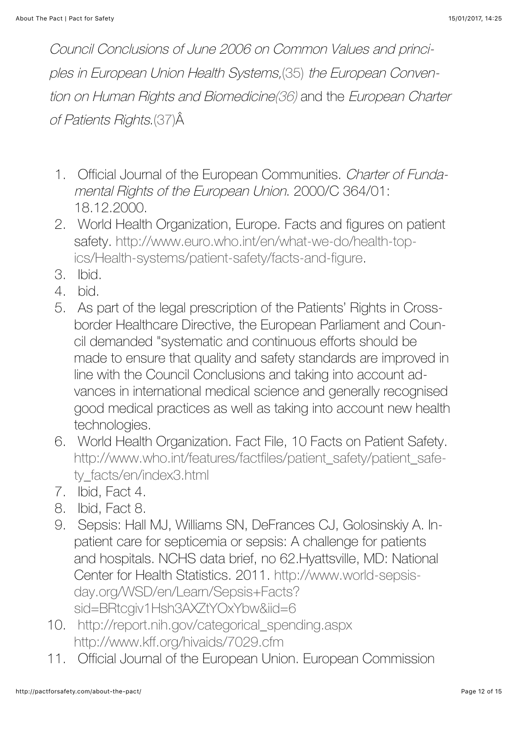Council Conclusions of June 2006 on Common Values and principles in European Union Health Systems,[\(35\)](http://pactforsafety.com/about-the-pact/#q35) the European Convention on Human Rights and Biomedicin[e\(36\)](http://pactforsafety.com/about-the-pact/#q36) and the European Charter of Patients Rights[.\(37\)Â](http://pactforsafety.com/about-the-pact/#q37)

- 1. Official Journal of the European Communities. Charter of Fundamental Rights of the European Union. 2000/C 364/01: 18.12.2000.
- 2. World Health Organization, Europe. Facts and figures on patient [safety. http://www.euro.who.int/en/what-we-do/health-top](http://www.euro.who.int/en/what-we-do/health-topics/Health-systems/patient-safety/facts-and-figure)ics/Health-systems/patient-safety/facts-and-figure.
- 3. Ibid.
- 4. bid.
- 5. As part of the legal prescription of the Patients' Rights in Crossborder Healthcare Directive, the European Parliament and Council demanded "systematic and continuous efforts should be made to ensure that quality and safety standards are improved in line with the Council Conclusions and taking into account advances in international medical science and generally recognised good medical practices as well as taking into account new health technologies.
- 6. World Health Organization. Fact File, 10 Facts on Patient Safety. [http://www.who.int/features/factfiles/patient\\_safety/patient\\_safe](http://www.who.int/features/factfiles/patient_safety/patient_safety_facts/en/index3.html)ty\_facts/en/index3.html
- 7. Ibid, Fact 4.
- 8. Ibid, Fact 8.
- 9. Sepsis: Hall MJ, Williams SN, DeFrances CJ, Golosinskiy A. Inpatient care for septicemia or sepsis: A challenge for patients and hospitals. NCHS data brief, no 62.Hyattsville, MD: National [Center for Health Statistics. 2011. http://www.world-sepsis](http://www.world-sepsis-day.org/WSD/en/Learn/Sepsis+Facts?sid=BRtcgiv1Hsh3AXZtYOxYbw&iid=6)day.org/WSD/en/Learn/Sepsis+Facts? sid=BRtcgiv1Hsh3AXZtYOxYbw&iid=6
- 10. [http://report.nih.gov/categorical\\_spending.aspx](http://report.nih.gov/categorical_spending.aspx%20http://www.kff.org/hivaids/7029.cfm) http://www.kff.org/hivaids/7029.cfm
- 11. Official Journal of the European Union. European Commission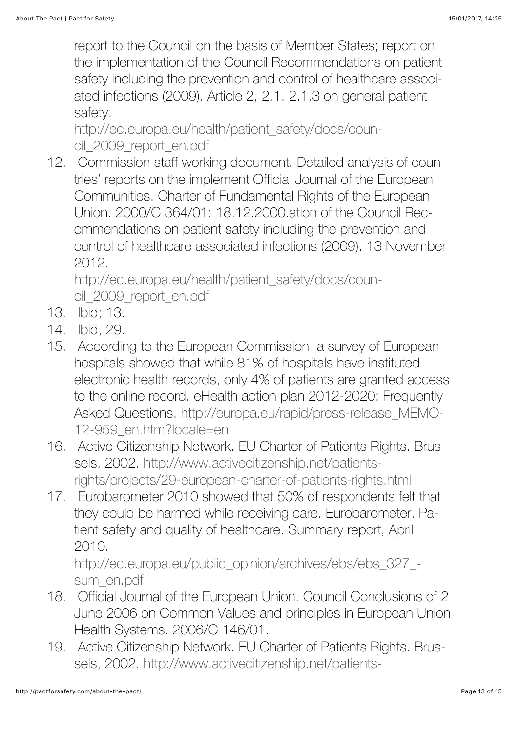report to the Council on the basis of Member States; report on the implementation of the Council Recommendations on patient safety including the prevention and control of healthcare associated infections (2009). Article 2, 2.1, 2.1.3 on general patient safety.

[http://ec.europa.eu/health/patient\\_safety/docs/coun](http://ec.europa.eu/health/patient_safety/docs/council_2009_report_en.pdf)cil 2009 report en.pdf

12. Commission staff working document. Detailed analysis of countries' reports on the implement Official Journal of the European Communities. Charter of Fundamental Rights of the European Union. 2000/C 364/01: 18.12.2000.ation of the Council Recommendations on patient safety including the prevention and control of healthcare associated infections (2009). 13 November 2012.

[http://ec.europa.eu/health/patient\\_safety/docs/coun](http://ec.europa.eu/health/patient_safety/docs/council_2009_report_en.pdf)cil 2009 report en.pdf

- 13. Ibid; 13.
- 14. Ibid, 29.
- 15. According to the European Commission, a survey of European hospitals showed that while 81% of hospitals have instituted electronic health records, only 4% of patients are granted access to the online record. eHealth action plan 2012-2020: Frequently [Asked Questions. http://europa.eu/rapid/press-release\\_MEMO-](http://irishpatients.ie/news/wp-content/uploads/2012/03/IPA_Off_Label_WEBr-1.pdf)12-959\_en.htm?locale=en
- 16. Active Citizenship Network. EU Charter of Patients Rights. Brussels, 2002. http://www.activecitizenship.net/patients[rights/projects/29-european-charter-of-patients-rights.html](http://irishpatients.ie/news/wp-content/uploads/2012/03/IPA_Off_Label_WEBr-1.pdf)
- 17. Eurobarometer 2010 showed that 50% of respondents felt that they could be harmed while receiving care. Eurobarometer. Patient safety and quality of healthcare. Summary report, April 2010.

[http://ec.europa.eu/public\\_opinion/archives/ebs/ebs\\_327\\_](http://irishpatients.ie/news/wp-content/uploads/2012/03/IPA_Off_Label_WEBr-1.pdf) sum\_en.pdf

- 18. Official Journal of the European Union. Council Conclusions of 2 June 2006 on Common Values and principles in European Union Health Systems. 2006/C 146/01.
- 19. Active Citizenship Network. EU Charter of Patients Rights. Brus[sels, 2002. http://www.activecitizenship.net/patients-](http://irishpatients.ie/news/wp-content/uploads/2012/03/IPA_Off_Label_WEBr-1.pdf)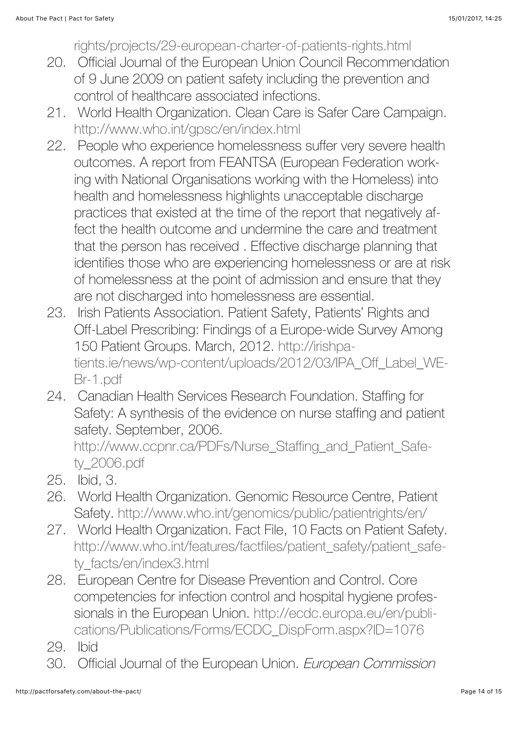[rights/projects/29-european-charter-of-patients-rights.html](http://irishpatients.ie/news/wp-content/uploads/2012/03/IPA_Off_Label_WEBr-1.pdf)

- 20. Official Journal of the European Union Council Recommendation of 9 June 2009 on patient safety including the prevention and control of healthcare associated infections.
- 21. World Health Organization. Clean Care is Safer Care Campaign. [http://www.who.int/gpsc/en/index.html](http://irishpatients.ie/news/wp-content/uploads/2012/03/IPA_Off_Label_WEBr-1.pdf)
- 22. People who experience homelessness suffer very severe health outcomes. A report from FEANTSA (European Federation working with National Organisations working with the Homeless) into health and homelessness highlights unacceptable discharge practices that existed at the time of the report that negatively affect the health outcome and undermine the care and treatment that the person has received . Effective discharge planning that identifies those who are experiencing homelessness or are at risk of homelessness at the point of admission and ensure that they are not discharged into homelessness are essential.
- 23. Irish Patients Association. Patient Safety, Patients' Rights and Off-Label Prescribing: Findings of a Europe-wide Survey Among 150 Patient Groups. March, 2012. http://irishpa[tients.ie/news/wp-content/uploads/2012/03/IPA\\_Off\\_Label\\_WE-](http://irishpatients.ie/news/wp-content/uploads/2012/03/IPA_Off_Label_WEBr-1.pdf)Br-1.pdf
- 24. Canadian Health Services Research Foundation. Staffing for Safety: A synthesis of the evidence on nurse staffing and patient safety. September, 2006.

[http://www.ccpnr.ca/PDFs/Nurse\\_Staffing\\_and\\_Patient\\_Safe](http://www.ccpnr.ca/PDFs/Nurse_Staffing_and_Patient_Safety_2006.pdf)ty\_2006.pdf

- 25. Ibid, 3.
- 26. World Health Organization. Genomic Resource Centre, Patient Safety. <http://www.who.int/genomics/public/patientrights/en/>
- 27. World Health Organization. Fact File, 10 Facts on Patient Safety. [http://www.who.int/features/factfiles/patient\\_safety/patient\\_safe](http://www.who.int/features/factfiles/patient_safety/patient_safety_facts/en/index3.html)ty\_facts/en/index3.html
- 28. European Centre for Disease Prevention and Control. Core competencies for infection control and hospital hygiene profes[sionals in the European Union. http://ecdc.europa.eu/en/publi](http://ecdc.europa.eu/en/publications/Publications/Forms/ECDC_DispForm.aspx?ID=1076)cations/Publications/Forms/ECDC\_DispForm.aspx?ID=1076
- 29. Ibid
- 30. Official Journal of the European Union. European Commission